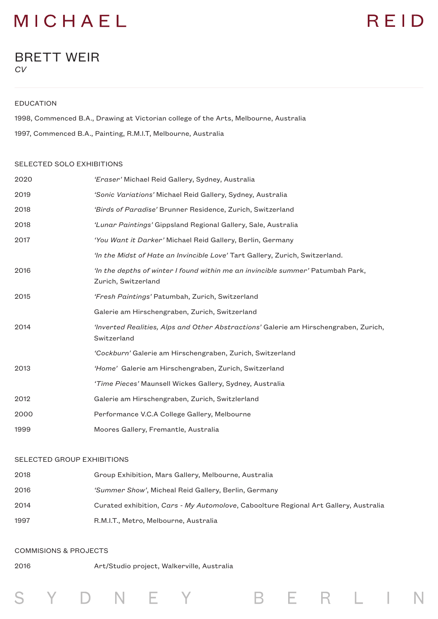## MICHAEL

# REID

### BRETT WEIR *CV*

#### EDUCATION

1998, Commenced B.A., Drawing at Victorian college of the Arts, Melbourne, Australia 1997, Commenced B.A., Painting, R.M.I.T, Melbourne, Australia

#### SELECTED SOLO EXHIBITIONS

| 2020 | 'Eraser' Michael Reid Gallery, Sydney, Australia                                                       |
|------|--------------------------------------------------------------------------------------------------------|
| 2019 | 'Sonic Variations' Michael Reid Gallery, Sydney, Australia                                             |
| 2018 | 'Birds of Paradise' Brunner Residence, Zurich, Switzerland                                             |
| 2018 | 'Lunar Paintings' Gippsland Regional Gallery, Sale, Australia                                          |
| 2017 | 'You Want it Darker' Michael Reid Gallery, Berlin, Germany                                             |
|      | 'In the Midst of Hate an Invincible Love' Tart Gallery, Zurich, Switzerland.                           |
| 2016 | 'In the depths of winter I found within me an invincible summer' Patumbah Park,<br>Zurich, Switzerland |
| 2015 | 'Fresh Paintings' Patumbah, Zurich, Switzerland                                                        |
|      | Galerie am Hirschengraben, Zurich, Switzerland                                                         |
| 2014 | 'Inverted Realities, Alps and Other Abstractions' Galerie am Hirschengraben, Zurich,<br>Switzerland    |
|      | 'Cockburn' Galerie am Hirschengraben, Zurich, Switzerland                                              |
| 2013 | 'Home' Galerie am Hirschengraben, Zurich, Switzerland                                                  |
|      | 'Time Pieces' Maunsell Wickes Gallery, Sydney, Australia                                               |
| 2012 | Galerie am Hirschengraben, Zurich, Switzlerland                                                        |
| 2000 | Performance V.C.A College Gallery, Melbourne                                                           |
| 1999 | Moores Gallery, Fremantle, Australia                                                                   |

#### SELECTED GROUP EXHIBITIONS

| 2018 | Group Exhibition, Mars Gallery, Melbourne, Australia                                 |
|------|--------------------------------------------------------------------------------------|
| 2016 | 'Summer Show', Micheal Reid Gallery, Berlin, Germany                                 |
| 2014 | Curated exhibition, Cars - My Automolove, Caboolture Regional Art Gallery, Australia |
| 1997 | R.M.I.T., Metro, Melbourne, Australia                                                |

B E R L I

#### COMMISIONS & PROJECTS

Y

 $\Box$ 

2016 Art/Studio project, Walkerville, Australia

E

Y

N